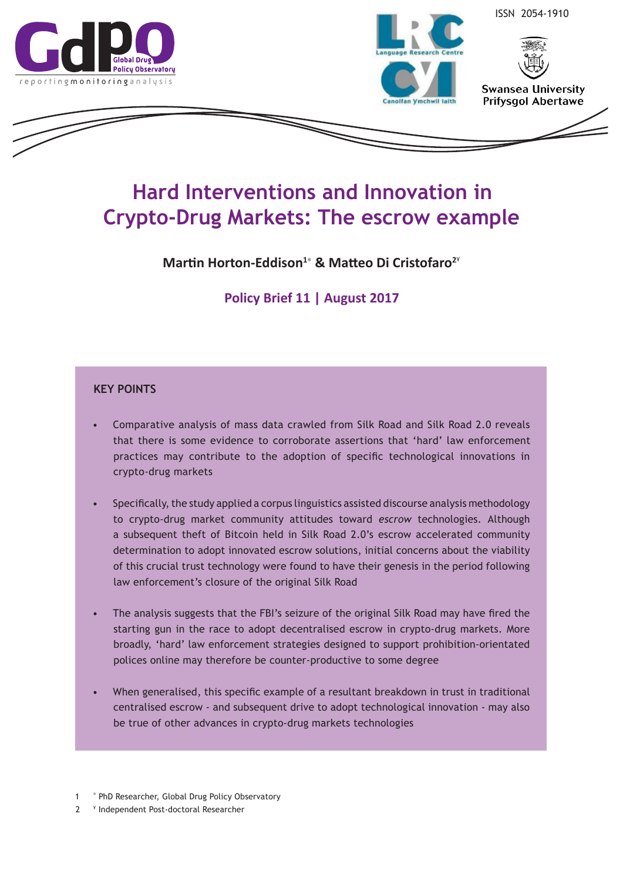



ISSN 2054-1910



**Swansea University Prifysgol Abertawe** 

# **Hard Interventions and Innovation in Crypto-Drug Markets: The escrow example**

**Martin Horton-Eddison<sup>1</sup>**<sup>∗</sup>  **& Matteo Di Cristofaro<sup>2</sup>**¥

**Policy Brief 11 | August 2017**

## **KEY POINTS**

- Comparative analysis of mass data crawled from Silk Road and Silk Road 2.0 reveals that there is some evidence to corroborate assertions that 'hard' law enforcement practices may contribute to the adoption of specific technological innovations in crypto-drug markets
- Specifically, the study applied a corpus linguistics assisted discourse analysis methodology to crypto-drug market community attitudes toward *escrow* technologies*.* Although a subsequent theft of Bitcoin held in Silk Road 2.0's escrow accelerated community determination to adopt innovated escrow solutions, initial concerns about the viability of this crucial trust technology were found to have their genesis in the period following law enforcement's closure of the original Silk Road
- The analysis suggests that the FBI's seizure of the original Silk Road may have fired the starting gun in the race to adopt decentralised escrow in crypto-drug markets. More broadly, 'hard' law enforcement strategies designed to support prohibition-orientated polices online may therefore be counter-productive to some degree
- When generalised, this specific example of a resultant breakdown in trust in traditional centralised escrow - and subsequent drive to adopt technological innovation - may also be true of other advances in crypto-drug markets technologies

2 ¥ Independent Post-doctoral Researcher

<sup>1 &</sup>lt;sup>\*</sup> PhD Researcher, Global Drug Policy Observatory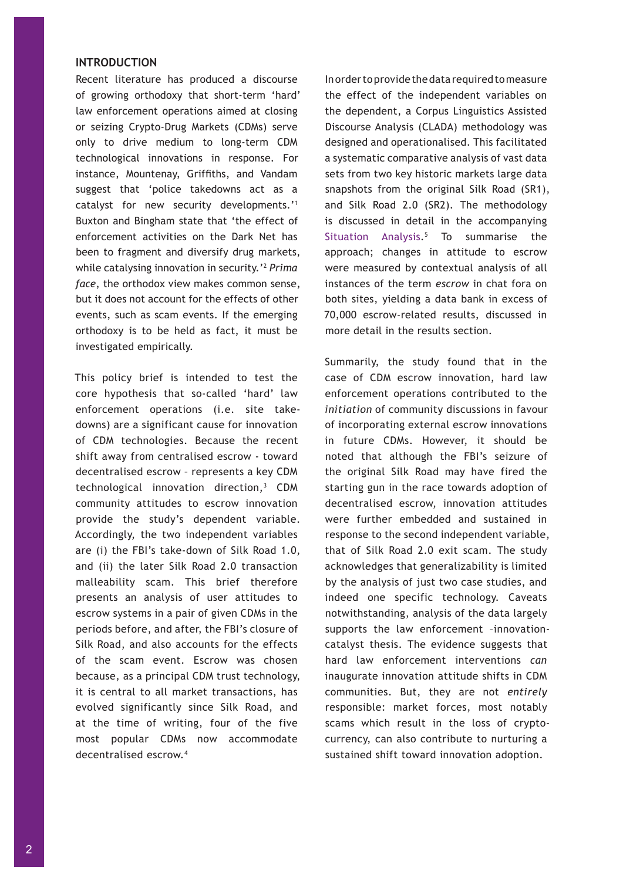## **INTRODUCTION**

Recent literature has produced a discourse of growing orthodoxy that short-term 'hard' law enforcement operations aimed at closing or seizing Crypto-Drug Markets (CDMs) serve only to drive medium to long-term CDM technological innovations in response. For instance, Mountenay, Griffiths, and Vandam suggest that 'police takedowns act as a catalyst for new security developments.'1 Buxton and Bingham state that 'the effect of enforcement activities on the Dark Net has been to fragment and diversify drug markets, while catalysing innovation in security.'<sup>2</sup> *Prima face*, the orthodox view makes common sense, but it does not account for the effects of other events, such as scam events. If the emerging orthodoxy is to be held as fact, it must be investigated empirically.

This policy brief is intended to test the core hypothesis that so-called 'hard' law enforcement operations (i.e. site takedowns) are a significant cause for innovation of CDM technologies. Because the recent shift away from centralised escrow - toward decentralised escrow – represents a key CDM technological innovation direction,<sup>3</sup> CDM community attitudes to escrow innovation provide the study's dependent variable. Accordingly, the two independent variables are (i) the FBI's take-down of Silk Road 1.0, and (ii) the later Silk Road 2.0 transaction malleability scam. This brief therefore presents an analysis of user attitudes to escrow systems in a pair of given CDMs in the periods before, and after, the FBI's closure of Silk Road, and also accounts for the effects of the scam event. Escrow was chosen because, as a principal CDM trust technology, it is central to all market transactions, has evolved significantly since Silk Road, and at the time of writing, four of the five most popular CDMs now accommodate decentralised escrow.4

In order to provide the data required to measure the effect of the independent variables on the dependent, a Corpus Linguistics Assisted Discourse Analysis (CLADA) methodology was designed and operationalised. This facilitated a systematic comparative analysis of vast data sets from two key historic markets large data snapshots from the original Silk Road (SR1), and Silk Road 2.0 (SR2). The methodology is discussed in detail in the accompanying [Situation Analysis.](http://www.swansea.ac.uk/media/EscrowMethodologicalSA110717.pdf)<sup>5</sup> To summarise the approach; changes in attitude to escrow were measured by contextual analysis of all instances of the term *escrow* in chat fora on both sites, yielding a data bank in excess of 70,000 escrow-related results, discussed in more detail in the results section.

Summarily, the study found that in the case of CDM escrow innovation, hard law enforcement operations contributed to the *initiation* of community discussions in favour of incorporating external escrow innovations in future CDMs. However, it should be noted that although the FBI's seizure of the original Silk Road may have fired the starting gun in the race towards adoption of decentralised escrow, innovation attitudes were further embedded and sustained in response to the second independent variable, that of Silk Road 2.0 exit scam. The study acknowledges that generalizability is limited by the analysis of just two case studies, and indeed one specific technology. Caveats notwithstanding, analysis of the data largely supports the law enforcement –innovationcatalyst thesis. The evidence suggests that hard law enforcement interventions *can* inaugurate innovation attitude shifts in CDM communities. But, they are not *entirely* responsible: market forces, most notably scams which result in the loss of cryptocurrency, can also contribute to nurturing a sustained shift toward innovation adoption.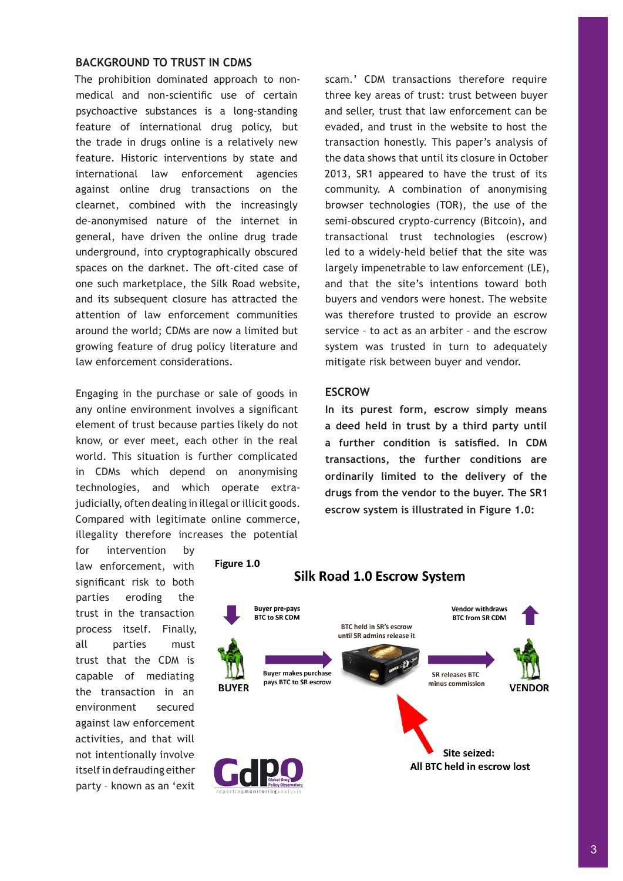## **BACKGROUND TO TRUST IN CDMS**

The prohibition dominated approach to nonmedical and non-scientific use of certain psychoactive substances is a long-standing feature of international drug policy, but the trade in drugs online is a relatively new feature. Historic interventions by state and international law enforcement agencies against online drug transactions on the clearnet, combined with the increasingly de-anonymised nature of the internet in general, have driven the online drug trade underground, into cryptographically obscured spaces on the darknet. The oft-cited case of one such marketplace, the Silk Road website, and its subsequent closure has attracted the attention of law enforcement communities around the world; CDMs are now a limited but growing feature of drug policy literature and law enforcement considerations.

Engaging in the purchase or sale of goods in any online environment involves a significant element of trust because parties likely do not know, or ever meet, each other in the real world. This situation is further complicated in CDMs which depend on anonymising technologies, and which operate extrajudicially, often dealing in illegal or illicit goods. Compared with legitimate online commerce, illegality therefore increases the potential

Figure 1.0

scam.' CDM transactions therefore require three key areas of trust: trust between buyer and seller, trust that law enforcement can be evaded, and trust in the website to host the transaction honestly. This paper's analysis of the data shows that until its closure in October 2013, SR1 appeared to have the trust of its community. A combination of anonymising browser technologies (TOR), the use of the semi-obscured crypto-currency (Bitcoin), and transactional trust technologies (escrow) led to a widely-held belief that the site was largely impenetrable to law enforcement (LE), and that the site's intentions toward both buyers and vendors were honest. The website was therefore trusted to provide an escrow service – to act as an arbiter – and the escrow system was trusted in turn to adequately mitigate risk between buyer and vendor.

#### **ESCROW**

**In its purest form, escrow simply means a deed held in trust by a third party until a further condition is satisfied. In CDM transactions, the further conditions are ordinarily limited to the delivery of the drugs from the vendor to the buyer. The SR1 escrow system is illustrated in Figure 1.0:**

for intervention by law enforcement, with significant risk to both parties eroding the trust in the transaction process itself. Finally, all parties must trust that the CDM is capable of mediating the transaction in an environment secured against law enforcement activities, and that will not intentionally involve itself in defrauding either party – known as an 'exit



## **Silk Road 1.0 Escrow System**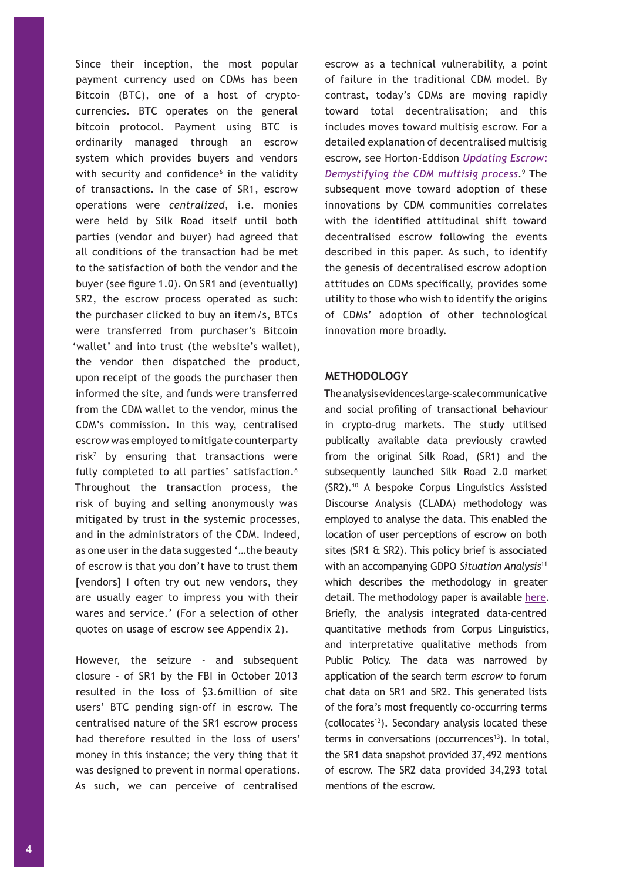Since their inception, the most popular payment currency used on CDMs has been Bitcoin (BTC), one of a host of cryptocurrencies. BTC operates on the general bitcoin protocol. Payment using BTC is ordinarily managed through an escrow system which provides buyers and vendors with security and confidence<sup>6</sup> in the validity of transactions. In the case of SR1, escrow operations were *centralized*, i.e. monies were held by Silk Road itself until both parties (vendor and buyer) had agreed that all conditions of the transaction had be met to the satisfaction of both the vendor and the buyer (see figure 1.0). On SR1 and (eventually) SR2, the escrow process operated as such: the purchaser clicked to buy an item/s, BTCs were transferred from purchaser's Bitcoin 'wallet' and into trust (the website's wallet), the vendor then dispatched the product, upon receipt of the goods the purchaser then informed the site, and funds were transferred from the CDM wallet to the vendor, minus the CDM's commission. In this way, centralised escrow was employed to mitigate counterparty risk<sup>7</sup> by ensuring that transactions were fully completed to all parties' satisfaction.<sup>8</sup> Throughout the transaction process, the risk of buying and selling anonymously was mitigated by trust in the systemic processes, and in the administrators of the CDM. Indeed, as one user in the data suggested '…the beauty of escrow is that you don't have to trust them [vendors] I often try out new vendors, they are usually eager to impress you with their wares and service.' (For a selection of other quotes on usage of escrow see Appendix 2).

However, the seizure - and subsequent closure - of SR1 by the FBI in October 2013 resulted in the loss of \$3.6million of site users' BTC pending sign-off in escrow. The centralised nature of the SR1 escrow process had therefore resulted in the loss of users' money in this instance; the very thing that it was designed to prevent in normal operations. As such, we can perceive of centralised

escrow as a technical vulnerability, a point of failure in the traditional CDM model. By contrast, today's CDMs are moving rapidly toward total decentralisation; and this includes moves toward multisig escrow. For a detailed explanation of decentralised multisig escrow, see Horton-Eddison *[Updating Escrow:](http://www.swansea.ac.uk/media/HortonEddisonGDPOMultiSigEscrowSA.pdf)  [Demystifying the CDM multisig process](http://www.swansea.ac.uk/media/HortonEddisonGDPOMultiSigEscrowSA.pdf).*<sup>9</sup> The subsequent move toward adoption of these innovations by CDM communities correlates with the identified attitudinal shift toward decentralised escrow following the events described in this paper. As such, to identify the genesis of decentralised escrow adoption attitudes on CDMs specifically, provides some utility to those who wish to identify the origins of CDMs' adoption of other technological innovation more broadly.

#### **METHODOLOGY**

The analysis evidences large-scale communicative and social profiling of transactional behaviour in crypto-drug markets. The study utilised publically available data previously crawled from the original Silk Road, (SR1) and the subsequently launched Silk Road 2.0 market (SR2).<sup>10</sup> A bespoke Corpus Linguistics Assisted Discourse Analysis (CLADA) methodology was employed to analyse the data. This enabled the location of user perceptions of escrow on both sites (SR1 & SR2). This policy brief is associated with an accompanying GDPO *Situation Analysis*<sup>11</sup> which describes the methodology in greater detail. The methodology paper is available [here.](http://www.swansea.ac.uk/media/EscrowMethodologicalSA110717.pdf) Briefly, the analysis integrated data-centred quantitative methods from Corpus Linguistics, and interpretative qualitative methods from Public Policy. The data was narrowed by application of the search term *escrow* to forum chat data on SR1 and SR2. This generated lists of the fora's most frequently co-occurring terms (collocates<sup>12</sup>). Secondary analysis located these terms in conversations (occurrences<sup>13</sup>). In total, the SR1 data snapshot provided 37,492 mentions of escrow. The SR2 data provided 34,293 total mentions of the escrow.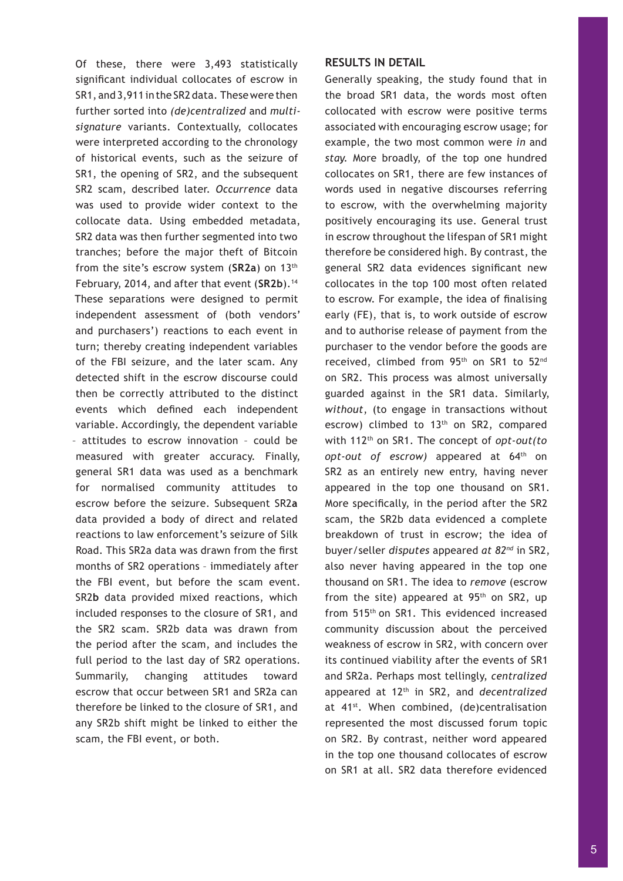Of these, there were 3,493 statistically significant individual collocates of escrow in SR1, and 3,911 in the SR2 data. These were then further sorted into *(de)centralized* and *multisignature* variants. Contextually, collocates were interpreted according to the chronology of historical events, such as the seizure of SR1, the opening of SR2, and the subsequent SR2 scam, described later. *Occurrence* data was used to provide wider context to the collocate data. Using embedded metadata, SR2 data was then further segmented into two tranches; before the major theft of Bitcoin from the site's escrow system (**SR2a**) on 13th February, 2014, and after that event (SR2b).<sup>14</sup> These separations were designed to permit independent assessment of (both vendors' and purchasers') reactions to each event in turn; thereby creating independent variables of the FBI seizure, and the later scam. Any detected shift in the escrow discourse could then be correctly attributed to the distinct events which defined each independent variable. Accordingly, the dependent variable – attitudes to escrow innovation – could be measured with greater accuracy. Finally, general SR1 data was used as a benchmark for normalised community attitudes to escrow before the seizure. Subsequent SR2**a** data provided a body of direct and related reactions to law enforcement's seizure of Silk Road. This SR2a data was drawn from the first months of SR2 operations – immediately after the FBI event, but before the scam event. SR2**b** data provided mixed reactions, which included responses to the closure of SR1, and the SR2 scam. SR2b data was drawn from the period after the scam, and includes the full period to the last day of SR2 operations. Summarily, changing attitudes toward escrow that occur between SR1 and SR2a can therefore be linked to the closure of SR1, and any SR2b shift might be linked to either the scam, the FBI event, or both.

### **RESULTS IN DETAIL**

Generally speaking, the study found that in the broad SR1 data, the words most often collocated with escrow were positive terms associated with encouraging escrow usage; for example, the two most common were *in* and *stay.* More broadly, of the top one hundred collocates on SR1, there are few instances of words used in negative discourses referring to escrow, with the overwhelming majority positively encouraging its use. General trust in escrow throughout the lifespan of SR1 might therefore be considered high. By contrast, the general SR2 data evidences significant new collocates in the top 100 most often related to escrow. For example, the idea of finalising early (FE), that is, to work outside of escrow and to authorise release of payment from the purchaser to the vendor before the goods are received, climbed from 95th on SR1 to 52nd on SR2. This process was almost universally guarded against in the SR1 data. Similarly, *without*, (to engage in transactions without escrow) climbed to 13<sup>th</sup> on SR2, compared with 112th on SR1. The concept of *opt-out(to opt-out of escrow)* appeared at 64th on SR2 as an entirely new entry, having never appeared in the top one thousand on SR1. More specifically, in the period after the SR2 scam, the SR2b data evidenced a complete breakdown of trust in escrow; the idea of buyer/seller *disputes* appeared *at 82nd* in SR2, also never having appeared in the top one thousand on SR1. The idea to *remove* (escrow from the site) appeared at  $95<sup>th</sup>$  on SR2, up from 515th on SR1. This evidenced increased community discussion about the perceived weakness of escrow in SR2, with concern over its continued viability after the events of SR1 and SR2a. Perhaps most tellingly, *centralized* appeared at 12th in SR2, and *decentralized* at 41<sup>st</sup>. When combined, (de)centralisation represented the most discussed forum topic on SR2. By contrast, neither word appeared in the top one thousand collocates of escrow on SR1 at all. SR2 data therefore evidenced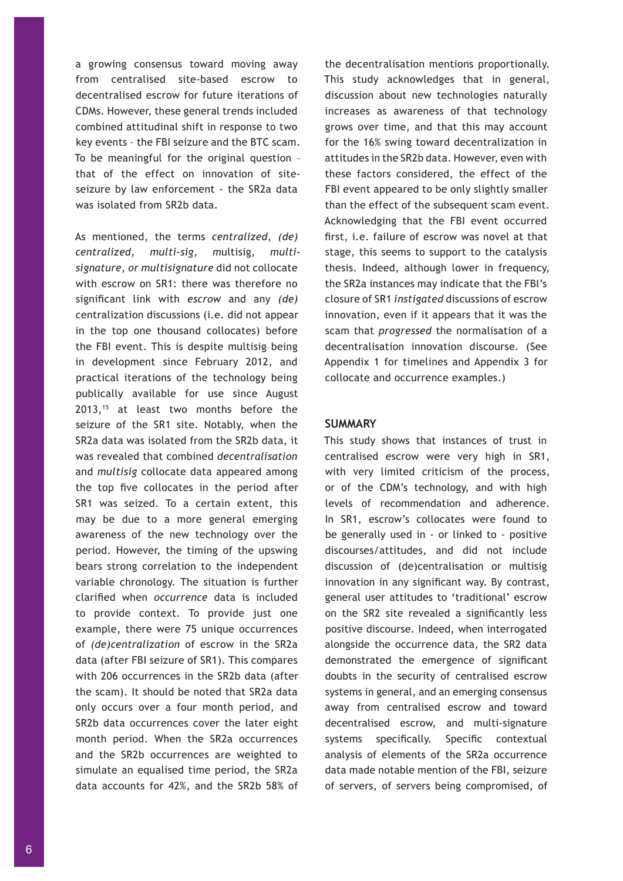a growing consensus toward moving away from centralised site-based escrow to decentralised escrow for future iterations of CDMs. However, these general trends included combined attitudinal shift in response to two key events – the FBI seizure and the BTC scam. To be meaningful for the original question – that of the effect on innovation of siteseizure by law enforcement - the SR2a data was isolated from SR2b data.

As mentioned, the terms *centralized*, *(de) centralized, multi-sig, m*ultisig, *multisignature, or multisignature* did not collocate with escrow on SR1: there was therefore no significant link with *escrow* and any *(de)* centralization discussions (i.e. did not appear in the top one thousand collocates) before the FBI event. This is despite multisig being in development since February 2012, and practical iterations of the technology being publically available for use since August 2013,15 at least two months before the seizure of the SR1 site. Notably, when the SR2a data was isolated from the SR2b data, it was revealed that combined *decentralisation* and *multisig* collocate data appeared among the top five collocates in the period after SR1 was seized. To a certain extent, this may be due to a more general emerging awareness of the new technology over the period. However, the timing of the upswing bears strong correlation to the independent variable chronology. The situation is further clarified when *occurrence* data is included to provide context. To provide just one example, there were 75 unique occurrences of *(de)centralization* of escrow in the SR2a data (after FBI seizure of SR1). This compares with 206 occurrences in the SR2b data (after the scam). It should be noted that SR2a data only occurs over a four month period, and SR2b data occurrences cover the later eight month period. When the SR2a occurrences and the SR2b occurrences are weighted to simulate an equalised time period, the SR2a data accounts for 42%, and the SR2b 58% of

the decentralisation mentions proportionally. This study acknowledges that in general, discussion about new technologies naturally increases as awareness of that technology grows over time, and that this may account for the 16% swing toward decentralization in attitudes in the SR2b data. However, even with these factors considered, the effect of the FBI event appeared to be only slightly smaller than the effect of the subsequent scam event. Acknowledging that the FBI event occurred first, i.e. failure of escrow was novel at that stage, this seems to support to the catalysis thesis. Indeed, although lower in frequency, the SR2a instances may indicate that the FBI's closure of SR1 *instigated* discussions of escrow innovation, even if it appears that it was the scam that *progressed* the normalisation of a decentralisation innovation discourse. (See Appendix 1 for timelines and Appendix 3 for collocate and occurrence examples.)

#### **SUMMARY**

This study shows that instances of trust in centralised escrow were very high in SR1, with very limited criticism of the process, or of the CDM's technology, and with high levels of recommendation and adherence. In SR1, escrow's collocates were found to be generally used in - or linked to - positive discourses/attitudes, and did not include discussion of (de)centralisation or multisig innovation in any significant way. By contrast, general user attitudes to 'traditional' escrow on the SR2 site revealed a significantly less positive discourse. Indeed, when interrogated alongside the occurrence data, the SR2 data demonstrated the emergence of significant doubts in the security of centralised escrow systems in general, and an emerging consensus away from centralised escrow and toward decentralised escrow, and multi-signature systems specifically. Specific contextual analysis of elements of the SR2a occurrence data made notable mention of the FBI, seizure of servers, of servers being compromised, of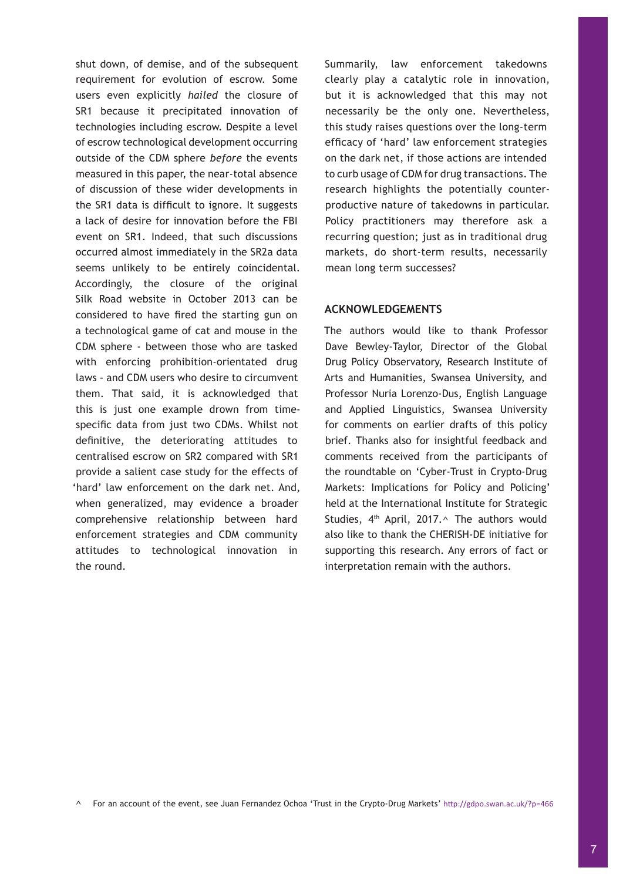shut down, of demise, and of the subsequent requirement for evolution of escrow. Some users even explicitly *hailed* the closure of SR1 because it precipitated innovation of technologies including escrow. Despite a level of escrow technological development occurring outside of the CDM sphere *before* the events measured in this paper, the near-total absence of discussion of these wider developments in the SR1 data is difficult to ignore. It suggests a lack of desire for innovation before the FBI event on SR1. Indeed, that such discussions occurred almost immediately in the SR2a data seems unlikely to be entirely coincidental. Accordingly, the closure of the original Silk Road website in October 2013 can be considered to have fired the starting gun on a technological game of cat and mouse in the CDM sphere - between those who are tasked with enforcing prohibition-orientated drug laws - and CDM users who desire to circumvent them. That said, it is acknowledged that this is just one example drown from timespecific data from just two CDMs. Whilst not definitive, the deteriorating attitudes to centralised escrow on SR2 compared with SR1 provide a salient case study for the effects of 'hard' law enforcement on the dark net. And, when generalized, may evidence a broader comprehensive relationship between hard enforcement strategies and CDM community attitudes to technological innovation in the round.

Summarily, law enforcement takedowns clearly play a catalytic role in innovation, but it is acknowledged that this may not necessarily be the only one. Nevertheless, this study raises questions over the long-term efficacy of 'hard' law enforcement strategies on the dark net, if those actions are intended to curb usage of CDM for drug transactions. The research highlights the potentially counterproductive nature of takedowns in particular. Policy practitioners may therefore ask a recurring question; just as in traditional drug markets, do short-term results, necessarily mean long term successes?

## **ACKNOWLEDGEMENTS**

The authors would like to thank Professor Dave Bewley-Taylor, Director of the Global Drug Policy Observatory, Research Institute of Arts and Humanities, Swansea University, and Professor Nuria Lorenzo-Dus, English Language and Applied Linguistics, Swansea University for comments on earlier drafts of this policy brief. Thanks also for insightful feedback and comments received from the participants of the roundtable on 'Cyber-Trust in Crypto-Drug Markets: Implications for Policy and Policing' held at the International Institute for Strategic Studies,  $4<sup>th</sup>$  April, 2017. $\land$  The authors would also like to thank the CHERISH-DE initiative for supporting this research. Any errors of fact or interpretation remain with the authors.

^ For an account of the event, see Juan Fernandez Ochoa 'Trust in the Crypto-Drug Markets' <http://gdpo.swan.ac.uk/?p=466>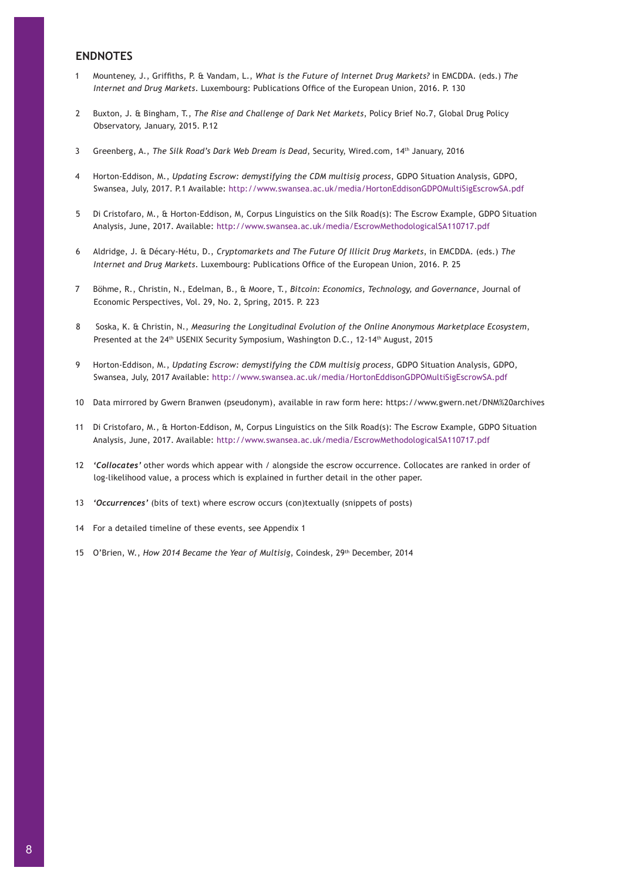## **ENDNOTES**

- 1 Mounteney, J., Griffiths, P. & Vandam, L., *What is the Future of Internet Drug Markets?* in EMCDDA. (eds.) *The Internet and Drug Markets*. Luxembourg: Publications Office of the European Union, 2016. P. 130
- 2 Buxton, J. & Bingham, T., *The Rise and Challenge of Dark Net Markets*, Policy Brief No.7, Global Drug Policy Observatory, January, 2015. P.12
- 3 Greenberg, A., *The Silk Road's Dark Web Dream is Dead*, Security, Wired.com, 14th January, 2016
- 4 Horton-Eddison, M., *Updating Escrow: demystifying the CDM multisig process*, GDPO Situation Analysis, GDPO, Swansea, July, 2017. P.1 Available: <http://www.swansea.ac.uk/media/HortonEddisonGDPOMultiSigEscrowSA.pdf>
- 5 Di Cristofaro, M., & Horton-Eddison, M, Corpus Linguistics on the Silk Road(s): The Escrow Example, GDPO Situation Analysis, June, 2017. Available: <http://www.swansea.ac.uk/media/EscrowMethodologicalSA110717.pdf>
- 6 Aldridge, J. & Décary-Hétu, D., *Cryptomarkets and The Future Of Illicit Drug Markets*, in EMCDDA. (eds.) *The Internet and Drug Markets*. Luxembourg: Publications Office of the European Union, 2016. P. 25
- 7 Böhme, R., Christin, N., Edelman, B., & Moore, T., *Bitcoin: Economics, Technology, and Governance*, Journal of Economic Perspectives, Vol. 29, No. 2, Spring, 2015. P. 223
- 8 Soska, K. & Christin, N., *Measuring the Longitudinal Evolution of the Online Anonymous Marketplace Ecosystem*, Presented at the 24<sup>th</sup> USENIX Security Symposium, Washington D.C., 12-14<sup>th</sup> August, 2015
- 9 Horton-Eddison, M., *Updating Escrow: demystifying the CDM multisig process*, GDPO Situation Analysis, GDPO, Swansea, July, 2017 Available: <http://www.swansea.ac.uk/media/HortonEddisonGDPOMultiSigEscrowSA.pdf>
- 10 Data mirrored by Gwern Branwen (pseudonym), available in raw form here: https://www.gwern.net/DNM%20archives
- 11 Di Cristofaro, M., & Horton-Eddison, M, Corpus Linguistics on the Silk Road(s): The Escrow Example, GDPO Situation Analysis, June, 2017. Available: <http://www.swansea.ac.uk/media/EscrowMethodologicalSA110717.pdf>
- 12 *'Collocates'* other words which appear with / alongside the escrow occurrence. Collocates are ranked in order of log-likelihood value, a process which is explained in further detail in the other paper.
- 13 *'Occurrences'* (bits of text) where escrow occurs (con)textually (snippets of posts)
- 14 For a detailed timeline of these events, see Appendix 1
- 15 O'Brien, W., *How 2014 Became the Year of Multisig*, Coindesk, 29th December, 2014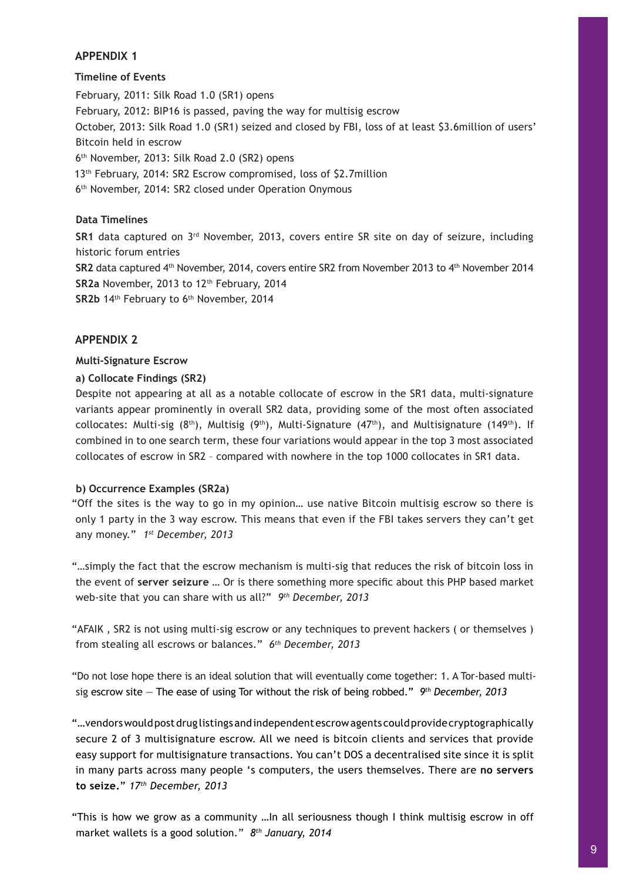## **APPENDIX 1**

## **Timeline of Events**

February, 2011: Silk Road 1.0 (SR1) opens February, 2012: BIP16 is passed, paving the way for multisig escrow October, 2013: Silk Road 1.0 (SR1) seized and closed by FBI, loss of at least \$3.6million of users' Bitcoin held in escrow 6th November, 2013: Silk Road 2.0 (SR2) opens 13th February, 2014: SR2 Escrow compromised, loss of \$2.7million 6th November, 2014: SR2 closed under Operation Onymous

## **Data Timelines**

**SR1** data captured on 3rd November, 2013, covers entire SR site on day of seizure, including historic forum entries SR2 data captured 4<sup>th</sup> November, 2014, covers entire SR2 from November 2013 to 4<sup>th</sup> November 2014 SR2a November, 2013 to 12<sup>th</sup> February, 2014 **SR2b** 14th February to 6th November, 2014

## **APPENDIX 2**

## **Multi-Signature Escrow**

## **a) Collocate Findings (SR2)**

Despite not appearing at all as a notable collocate of escrow in the SR1 data, multi-signature variants appear prominently in overall SR2 data, providing some of the most often associated collocates: Multi-sig  $(8<sup>th</sup>)$ , Multisig  $(9<sup>th</sup>)$ , Multi-Signature  $(47<sup>th</sup>)$ , and Multisignature  $(149<sup>th</sup>)$ . If combined in to one search term, these four variations would appear in the top 3 most associated collocates of escrow in SR2 – compared with nowhere in the top 1000 collocates in SR1 data.

## **b) Occurrence Examples (SR2a)**

"Off the sites is the way to go in my opinion… use native Bitcoin multisig escrow so there is only 1 party in the 3 way escrow. This means that even if the FBI takes servers they can't get any money." *1st December, 2013*

"…simply the fact that the escrow mechanism is multi-sig that reduces the risk of bitcoin loss in the event of **server seizure** … Or is there something more specific about this PHP based market web-site that you can share with us all?" *9th December, 2013*

"AFAIK , SR2 is not using multi-sig escrow or any techniques to prevent hackers ( or themselves ) from stealing all escrows or balances." *6th December, 2013*

"Do not lose hope there is an ideal solution that will eventually come together: 1. A Tor-based multisig escrow site — The ease of using Tor without the risk of being robbed." *9th December, 2013*

"…vendors would post drug listings and independent escrow agents could provide cryptographically secure 2 of 3 multisignature escrow. All we need is bitcoin clients and services that provide easy support for multisignature transactions. You can't DOS a decentralised site since it is split in many parts across many people 's computers, the users themselves. There are **no servers to seize.**" *17th December, 2013*

"This is how we grow as a community …In all seriousness though I think multisig escrow in off market wallets is a good solution." *8th January, 2014*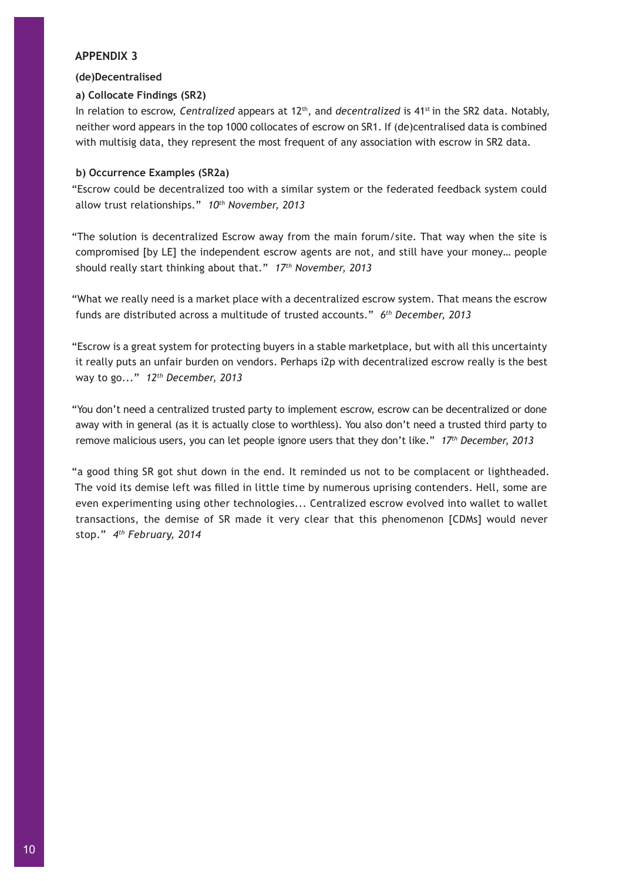## **APPENDIX 3**

## **(de)Decentralised**

## **a) Collocate Findings (SR2)**

In relation to escrow, *Centralized* appears at 12<sup>th</sup>, and *decentralized* is 41<sup>st</sup> in the SR2 data. Notably, neither word appears in the top 1000 collocates of escrow on SR1. If (de)centralised data is combined with multisig data, they represent the most frequent of any association with escrow in SR2 data.

## **b) Occurrence Examples (SR2a)**

"Escrow could be decentralized too with a similar system or the federated feedback system could allow trust relationships." *10th November, 2013*

"The solution is decentralized Escrow away from the main forum/site. That way when the site is compromised [by LE] the independent escrow agents are not, and still have your money… people should really start thinking about that." *17th November, 2013* 

"What we really need is a market place with a decentralized escrow system. That means the escrow funds are distributed across a multitude of trusted accounts." *6th December, 2013*

"Escrow is a great system for protecting buyers in a stable marketplace, but with all this uncertainty it really puts an unfair burden on vendors. Perhaps i2p with decentralized escrow really is the best way to go..." *12th December, 2013*

"You don't need a centralized trusted party to implement escrow, escrow can be decentralized or done away with in general (as it is actually close to worthless). You also don't need a trusted third party to remove malicious users, you can let people ignore users that they don't like." *17th December, 2013*

"a good thing SR got shut down in the end. It reminded us not to be complacent or lightheaded. The void its demise left was filled in little time by numerous uprising contenders. Hell, some are even experimenting using other technologies... Centralized escrow evolved into wallet to wallet transactions, the demise of SR made it very clear that this phenomenon [CDMs] would never stop." *4th February, 2014*